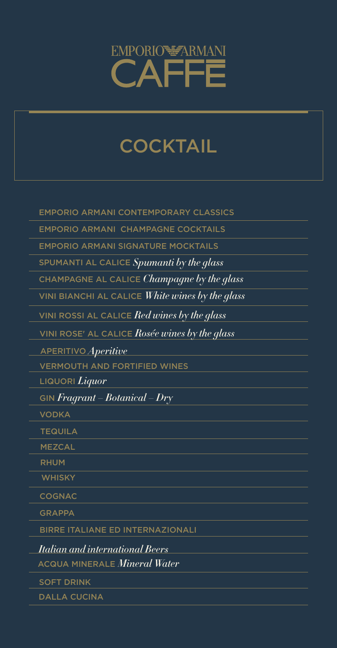EMPORIO ARMANI CONTEMPORARY CLASSICS

EMPORIO ARMANI CHAMPAGNE COCKTAILS

EMPORIO ARMANI SIGNATURE MOCKTAILS

SPUMANTI AL CALICE *Spumanti by the glass*

CHAMPAGNE AL CALICE *Champagne by the glass*

VINI BIANCHI AL CALICE *White wines by the glass*

VINI ROSSI AL CALICE *Red wines by the glass*

VERMOUTH AND FORTIFIED WINES

APERITIVO *Aperitive*

LIQUORI *Liquor*

GIN *Fragrant – Botanical – Dry*

VODKA

TEQUILA

MEZCAL

RHUM

**WHISKY** 

COGNAC

GRAPPA

#### BIRRE ITALIANE ED INTERNAZIONALI

*Italian and international Beers*

ACQUA MINERALE *Mineral Water*

SOFT DRINK



# COCKTAIL

DALLA CUCINA

VINI ROSE' AL CALICE *Rosée wines by the glass*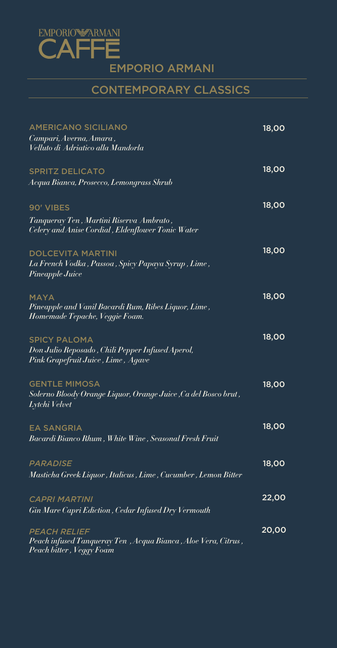DOLCEVITA MARTINI

| La French Vodka , Passoa , Spicy Papaya Syrup , Lime , |  |  |  |
|--------------------------------------------------------|--|--|--|
| Pineapple Juice                                        |  |  |  |

| <b>AMERICANO SICILIANO</b><br>Campari, Averna, Amara,<br>Velluto di Adriatico alla Mandorla                        | <b>18,00</b> |
|--------------------------------------------------------------------------------------------------------------------|--------------|
| <b>SPRITZ DELICATO</b><br>Acqua Bianca, Prosecco, Lemongrass Shrub                                                 | 18,00        |
| <b>90' VIBES</b><br>Tanqueray Ten , Martini Riserva Ambrato ,<br>Celery and Anise Cordial, Eldenflower Tonic Water | 18,00        |
| DOI CEVITA MARTIN                                                                                                  | <b>18.OC</b> |

| <b>MAYA</b><br>Pineapple and Vanil Bacardi Rum, Ribes Liquor, Lime ,<br>Homemade Tepache, Veggie Foam.           | <b>18,00</b> |
|------------------------------------------------------------------------------------------------------------------|--------------|
| <b>SPICY PALOMA</b><br>Don Julio Reposado , Chili Pepper Infused Aperol,<br>Pink Grapefruit Juice , Lime , Agave | 18,00        |
| <b>GENTLE MIMOSA</b><br>Solerno Bloody Orange Liquor, Orange Juice ,Ca del Bosco brut ,<br>Lytchi Velvet         | <b>18,00</b> |
| <b>EA SANGRIA</b><br>Bacardi Bianco Rhum , White Wine , Seasonal Fresh Fruit                                     | <b>18,00</b> |
| PARADISE<br>Masticha Greek Liquor , Italicus , Lime , Cucumber , Lemon Bitter                                    | 18,00        |
| <b>CAPRI MARTINI</b>                                                                                             | 22,00        |

*Gin Mare Capri Ediction , Cedar Infused Dry Vermouth* 

#### *PEACH RELIEF Peach infused Tanqueray Ten , Acqua Bianca , Aloe Vera, Citrus , Peach bitter , Veggy Foam*



## CONTEMPORARY CLASSICS

20,00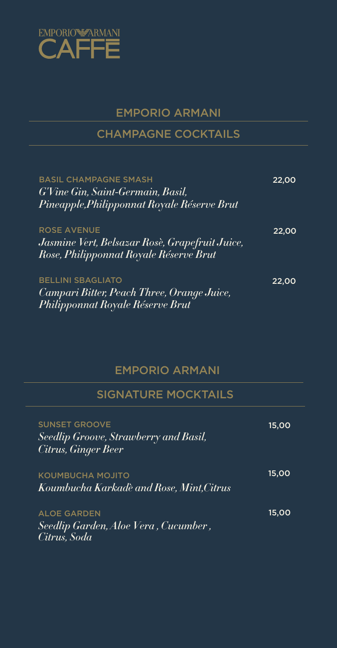### BASIL CHAMPAGNE SMASH *G'Vine Gin, Saint-Germain, Basil, Pineapple,Philipponnat Royale Réserve Brut*

#### ROSE AVENUE

*Jasmine Vert, Belsazar Rosè, Grapefruit Juice, Rose, Philipponnat Royale Réserve Brut*

| <b>SUNSET GROOVE</b><br>Seedlip Groove, Strawberry and Basil,<br><b>Citrus, Ginger Beer</b> | 15,00        |
|---------------------------------------------------------------------------------------------|--------------|
| <b>KOUMBUCHA MOJITO</b><br>Koumbucha Karkadè and Rose, Mint,Citrus                          | 15,00        |
| <b>ALOE GARDEN</b>                                                                          | <b>15.OO</b> |

BELLINI SBAGLIATO *Campari Bitter, Peach Three, Orange Juice, Philipponnat Royale Réserve Brut*

22,00

22,00

22,00



## EMPORIO ARMANI

## CHAMPAGNE COCKTAILS

### *Seedlip Garden, Aloe Vera , Cucumber , Citrus, Soda*

## EMPORIO ARMANI

## SIGNATURE MOCKTAILS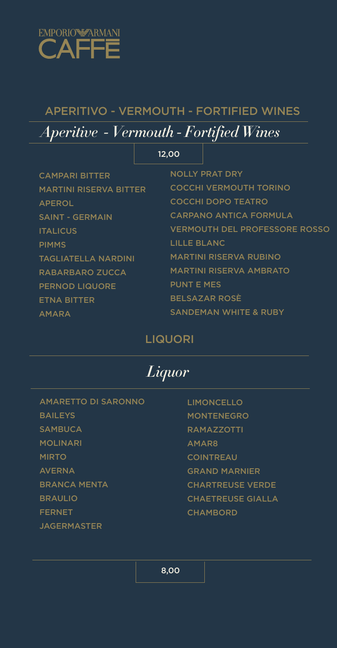AMARETTO DI SARONNO **BAILEYS SAMBUCA** MOLINARI MIRTO AVERNA BRANCA MENTA BRAULIO FERNET



LIMONCELLO MONTENEGRO RAMAZZOTTI AMAR8 COINTREAU GRAND MARNIER CHARTREUSE VERDE CHAETREUSE GIALLA CHAMBORD

TAGLIATELLA NARDINI RABARBARO ZUCCA PERNOD LIQUORE ETNA BITTER AMARA



## APERITIVO - VERMOUTH - FORTIFIED WINES

|                               | 12,00       |                                      |
|-------------------------------|-------------|--------------------------------------|
| <b>CAMPARI BITTER</b>         |             | <b>NOLLY PRAT DRY</b>                |
| <b>MARTINI RISERVA BITTER</b> |             | <b>COCCHI VERMOUTH TORINO</b>        |
| <b>APEROL</b>                 |             | <b>COCCHI DOPO TEATRO</b>            |
| <b>SAINT - GERMAIN</b>        |             | <b>CARPANO ANTICA FORMULA</b>        |
| <b>ITALICUS</b>               |             | <b>VERMOUTH DEL PROFESSORE ROSSO</b> |
| <b>PIMMS</b>                  | LILLE BLANC |                                      |
| <b>TAGLIATELLA NARDINI</b>    |             | <b>MARTINI RISERVA RUBINO</b>        |

# *Aperitive - Vermouth - Fortified Wines*

### LIQUORI

*Liquor*



MARTINI RISERVA AMBRATO PUNT E MES BELSAZAR ROSÈ SANDEMAN WHITE & RUBY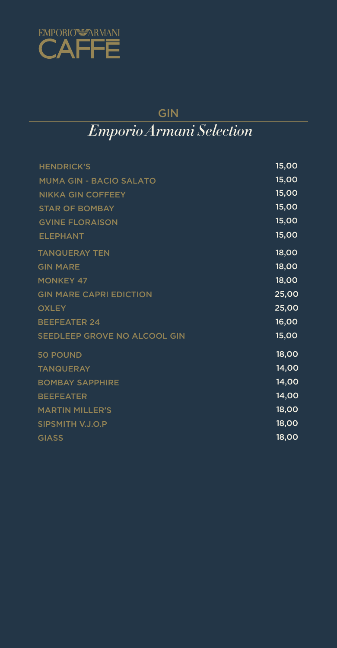| <b>HENDRICK'S</b>        | 15,00 |
|--------------------------|-------|
| MUMA GIN - BACIO SALATO  | 15,00 |
| <b>NIKKA GIN COFFEEY</b> | 15,00 |
| <b>STAR OF BOMBAY</b>    | 15,00 |
| <b>GVINE FLORAISON</b>   | 15,00 |
| <b>ELEPHANT</b>          | 15,00 |
| <b>TANQUERAY TEN</b>     | 18,00 |

| <b>GIN MARE</b>                | 18,00 |
|--------------------------------|-------|
| <b>MONKEY 47</b>               | 18,00 |
| <b>GIN MARE CAPRI EDICTION</b> | 25,00 |
| <b>OXLEY</b>                   | 25,00 |
| <b>BEEFEATER 24</b>            | 16,00 |
| SEEDLEEP GROVE NO ALCOOL GIN   | 15,00 |
| <b>50 POUND</b>                | 18,00 |
| <b>TANQUERAY</b>               | 14,00 |
| <b>BOMBAY SAPPHIRE</b>         | 14,00 |
| <b>BEEFEATER</b>               | 14,00 |
| <b>MARTIN MILLER'S</b>         | 18,00 |
| SIPSMITH V.J.O.P               | 18,00 |
| <b>GIASS</b>                   | 18,00 |



## GIN

# *Emporio Armani Selection*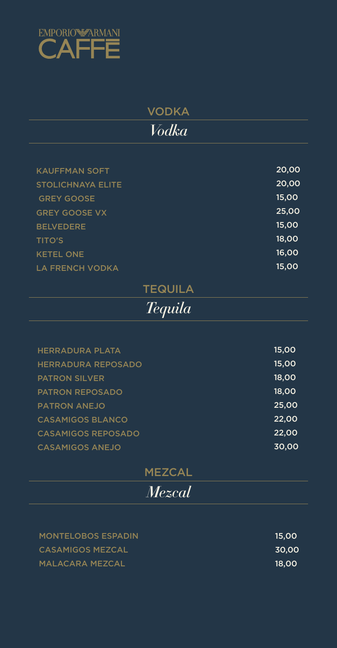#### LA FRENCH VODKA

| <b>KAUFFMAN SOFT</b>     | 20,00 |
|--------------------------|-------|
| <b>STOLICHNAYA ELITE</b> | 20,00 |
| <b>GREY GOOSE</b>        | 15,00 |
| <b>GREY GOOSE VX</b>     | 25,00 |
| <b>BELVEDERE</b>         | 15,00 |
| <b>TITO'S</b>            | 18,00 |
| <b>KETEL ONE</b>         | 16,00 |

| <b>HERRADURA PLATA</b>    | 15,00 |
|---------------------------|-------|
| <b>HERRADURA REPOSADO</b> | 15,00 |
| <b>PATRON SILVER</b>      | 18,00 |
| <b>PATRON REPOSADO</b>    | 18,00 |
| <b>PATRON ANEJO</b>       | 25,00 |
| <b>CASAMIGOS BLANCO</b>   | 22,00 |
| <b>CASAMIGOS REPOSADO</b> | 22,00 |
| <b>CASAMIGOS ANEJO</b>    | 30,00 |

MONTELOBOS ESPADIN CASAMIGOS MEZCAL MALACARA MEZCAL

15,00

15,00 30,00 18,00



# VODKA *Vodka*

## TEQUILA

*Tequila*

### MEZCAL

*Mezcal*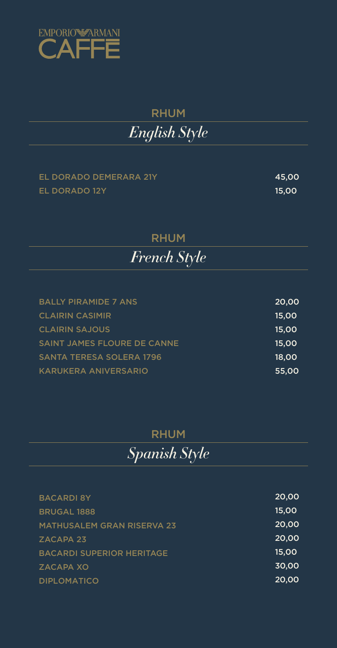### EL DORADO DEMERARA 21Y EL DORADO 12Y

BACARDI 8Y BRUGAL 1888

| <b>BALLY PIRAMIDE 7 ANS</b>        | 20,00 |
|------------------------------------|-------|
| <b>CLAIRIN CASIMIR</b>             | 15,00 |
| <b>CLAIRIN SAJOUS</b>              | 15.00 |
| <b>SAINT JAMES FLOURE DE CANNE</b> | 15.00 |
| <b>SANTA TERESA SOLERA 1796</b>    | 18.00 |
| <b>KARUKERA ANIVERSARIO</b>        | 55,00 |

| <b>MATHUSALEM GRAN RISERVA 23</b> |  |
|-----------------------------------|--|
| <b>ZACAPA 23</b>                  |  |
| <b>BACARDI SUPERIOR HERITAGE</b>  |  |
| ZACAPA XO                         |  |
| <b>DIPLOMATICO</b>                |  |

45,00 15,00

20,00 15,00

20,00 20,00 15,00 30,00 20,00



# RHUM *English Style*

## RHUM



## RHUM

*Spanish Style*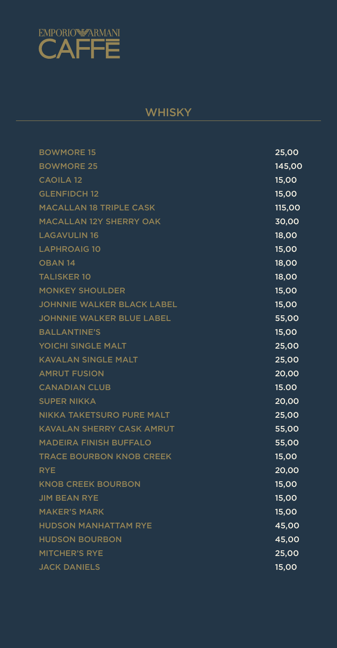

## **WHISKY**

| <b>BOWMORE 15</b>              | 25,00         |
|--------------------------------|---------------|
| <b>BOWMORE 25</b>              | 145,00        |
| <b>CAOILA 12</b>               | 15,00         |
| <b>GLENFIDCH 12</b>            | 15,00         |
| <b>MACALLAN 18 TRIPLE CASK</b> | <b>115,00</b> |
| <b>MACALLAN 12Y SHERRY OAK</b> | 30,00         |
| <b>LAGAVULIN 16</b>            | 18,00         |
| <b>LAPHROAIG 10</b>            | 15,00         |

| <b>OBAN 14</b>                    | 18,00 |
|-----------------------------------|-------|
| <b>TALISKER 10</b>                | 18,00 |
| <b>MONKEY SHOULDER</b>            | 15,00 |
| <b>JOHNNIE WALKER BLACK LABEL</b> | 15,00 |
| <b>JOHNNIE WALKER BLUE LABEL</b>  | 55,00 |
| <b>BALLANTINE'S</b>               | 15,00 |
| YOICHI SINGLE MALT                | 25,00 |
| <b>KAVALAN SINGLE MALT</b>        | 25,00 |
| <b>AMRUT FUSION</b>               | 20,00 |
| <b>CANADIAN CLUB</b>              | 15.00 |
| <b>SUPER NIKKA</b>                | 20,00 |
| NIKKA TAKETSURO PURE MALT         | 25,00 |
| <b>KAVALAN SHERRY CASK AMRUT</b>  | 55,00 |
| <b>MADEIRA FINISH BUFFALO</b>     | 55,00 |
| <b>TRACE BOURBON KNOB CREEK</b>   | 15,00 |
| <b>RYE</b>                        | 20,00 |
| <b>KNOB CREEK BOURBON</b>         | 15,00 |
| <b>JIM BEAN RYE</b>               | 15,00 |
| <b>MAKER'S MARK</b>               | 15,00 |

**HUDSON MANHATTAM RYE HUDSON BOURBON MITCHER'S RYE JACK DANIELS** 

45,00 45,00 25,00 15,00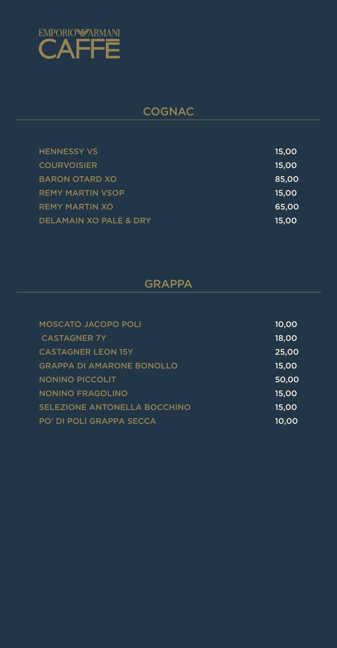| <b>HENNESSY VS</b>      | <b>15,00</b> |
|-------------------------|--------------|
| <b>COURVOISIER</b>      | <b>15,00</b> |
| <b>BARON OTARD XO</b>   | 85,00        |
| <b>REMY MARTIN VSOP</b> | <b>15,00</b> |
| <b>REMY MARTIN XO</b>   | 65,00        |
| DELAMAIN XO PALE & DRY  | <b>15,00</b> |

| <b>MOSCATO JACOPO POLI</b>       | 10,00 |
|----------------------------------|-------|
| <b>CASTAGNER 7Y</b>              | 18,00 |
| <b>CASTAGNER LEON 15Y</b>        | 25,00 |
| <b>GRAPPA DI AMARONE BONOLLO</b> | 15,00 |
| <b>NONINO PICCOLIT</b>           | 50,00 |
| <b>NONINO FRAGOLINO</b>          | 15,00 |
| SELEZIONE ANTONELLA BOCCHINO     | 15,00 |
| <b>PO' DI POLI GRAPPA SECCA</b>  | 10.00 |



## COGNAC

## GRAPPA